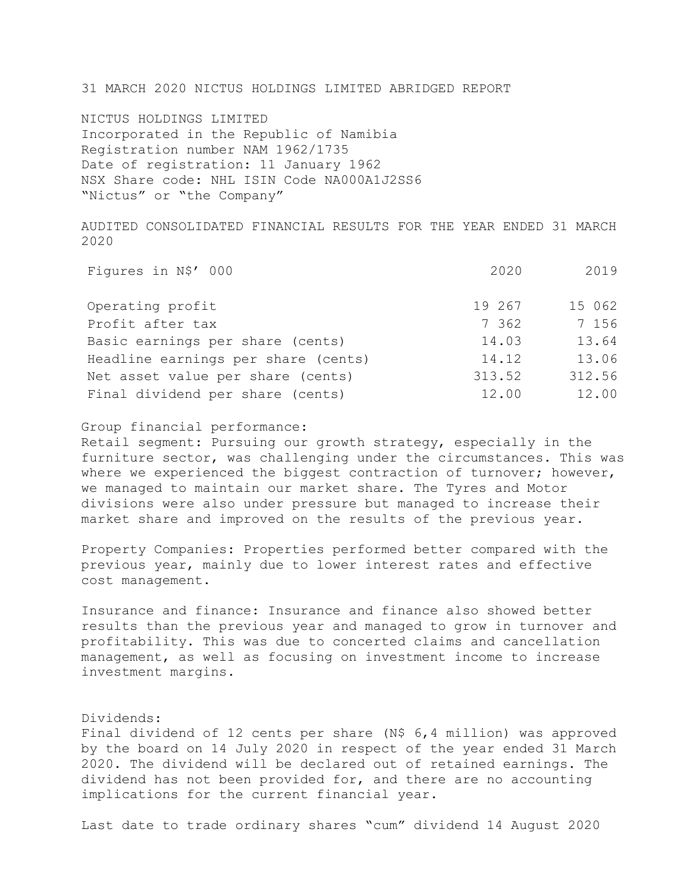31 MARCH 2020 NICTUS HOLDINGS LIMITED ABRIDGED REPORT

NICTUS HOLDINGS LIMITED Incorporated in the Republic of Namibia Registration number NAM 1962/1735 Date of registration: 11 January 1962 NSX Share code: NHL ISIN Code NA000A1J2SS6 "Nictus" or "the Company"

AUDITED CONSOLIDATED FINANCIAL RESULTS FOR THE YEAR ENDED 31 MARCH 2020

| Figures in N\$' 000                 | 2020   | 2019   |
|-------------------------------------|--------|--------|
| Operating profit                    | 19 267 | 15 062 |
| Profit after tax                    | 7 362  | 7 156  |
| Basic earnings per share (cents)    | 14.03  | 13.64  |
| Headline earnings per share (cents) | 14.12  | 13.06  |
| Net asset value per share (cents)   | 313.52 | 312.56 |
| Final dividend per share (cents)    | 12.00  | 12.00  |

## Group financial performance:

Retail segment: Pursuing our growth strategy, especially in the furniture sector, was challenging under the circumstances. This was where we experienced the biggest contraction of turnover; however, we managed to maintain our market share. The Tyres and Motor divisions were also under pressure but managed to increase their market share and improved on the results of the previous year.

Property Companies: Properties performed better compared with the previous year, mainly due to lower interest rates and effective cost management.

Insurance and finance: Insurance and finance also showed better results than the previous year and managed to grow in turnover and profitability. This was due to concerted claims and cancellation management, as well as focusing on investment income to increase investment margins.

# Dividends:

Final dividend of 12 cents per share (N\$ 6,4 million) was approved by the board on 14 July 2020 in respect of the year ended 31 March 2020. The dividend will be declared out of retained earnings. The dividend has not been provided for, and there are no accounting implications for the current financial year.

Last date to trade ordinary shares "cum" dividend 14 August 2020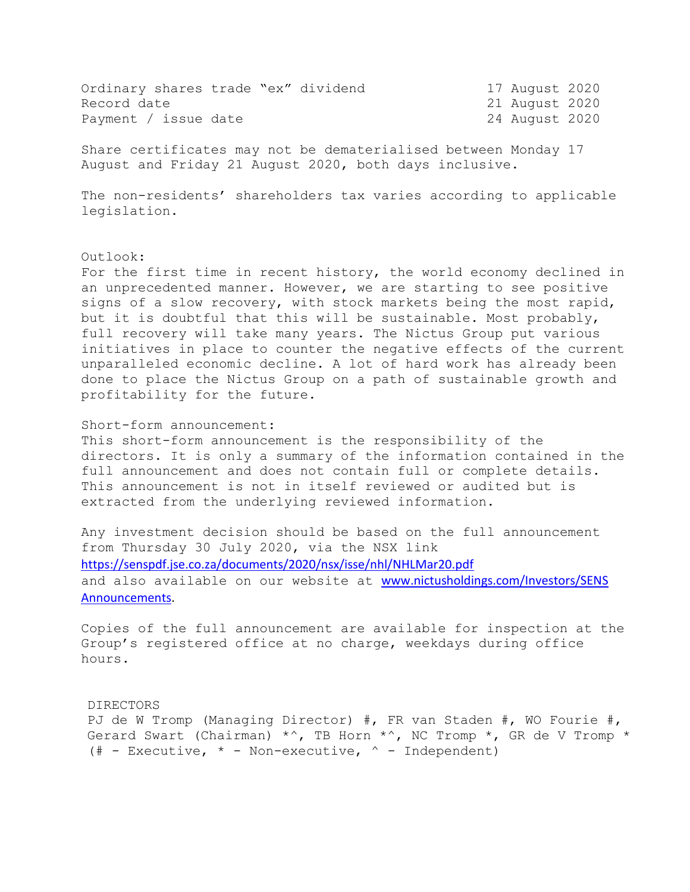| Ordinary shares trade "ex" dividend |  |  | 17 August 2020 |  |
|-------------------------------------|--|--|----------------|--|
| Record date                         |  |  | 21 August 2020 |  |
| Payment / issue date                |  |  | 24 August 2020 |  |

Share certificates may not be dematerialised between Monday 17 August and Friday 21 August 2020, both days inclusive.

The non-residents' shareholders tax varies according to applicable legislation.

#### Outlook:

For the first time in recent history, the world economy declined in an unprecedented manner. However, we are starting to see positive signs of a slow recovery, with stock markets being the most rapid, but it is doubtful that this will be sustainable. Most probably, full recovery will take many years. The Nictus Group put various initiatives in place to counter the negative effects of the current unparalleled economic decline. A lot of hard work has already been done to place the Nictus Group on a path of sustainable growth and profitability for the future.

### Short-form announcement:

This short-form announcement is the responsibility of the directors. It is only a summary of the information contained in the full announcement and does not contain full or complete details. This announcement is not in itself reviewed or audited but is extracted from the underlying reviewed information.

Any investment decision should be based on the full announcement from Thursday 30 July 2020, via the NSX link <https://senspdf.jse.co.za/documents/2020/nsx/isse/nhl/NHLMar20.pdf> and also available on our website at [www.nictusholdings.com/Investors/SENS](http://www.nictusholdings.com/Investors/SENS%20Announcements)  [Announcements.](http://www.nictusholdings.com/Investors/SENS%20Announcements)

Copies of the full announcement are available for inspection at the Group's registered office at no charge, weekdays during office hours.

#### DIRECTORS

PJ de W Tromp (Managing Director) #, FR van Staden #, WO Fourie #, Gerard Swart (Chairman)  $\star$ ^, TB Horn  $\star$ ^, NC Tromp  $\star$ , GR de V Tromp  $\star$ (# - Executive,  $*$  - Non-executive,  $\hat{ }$  - Independent)